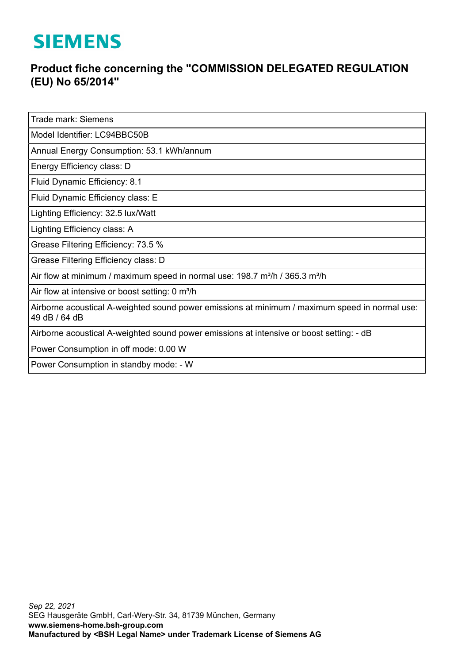## **SIEMENS**

## **Product fiche concerning the "COMMISSION DELEGATED REGULATION (EU) No 65/2014"**

Trade mark: Siemens

Model Identifier: LC94BBC50B

Annual Energy Consumption: 53.1 kWh/annum

Energy Efficiency class: D

Fluid Dynamic Efficiency: 8.1

Fluid Dynamic Efficiency class: E

Lighting Efficiency: 32.5 lux/Watt

Lighting Efficiency class: A

Grease Filtering Efficiency: 73.5 %

Grease Filtering Efficiency class: D

Air flow at minimum / maximum speed in normal use: 198.7 m<sup>3</sup>/h / 365.3 m<sup>3</sup>/h

Air flow at intensive or boost setting: 0 m<sup>3</sup>/h

Airborne acoustical A-weighted sound power emissions at minimum / maximum speed in normal use: 49 dB / 64 dB

Airborne acoustical A-weighted sound power emissions at intensive or boost setting: - dB

Power Consumption in off mode: 0.00 W

Power Consumption in standby mode: - W